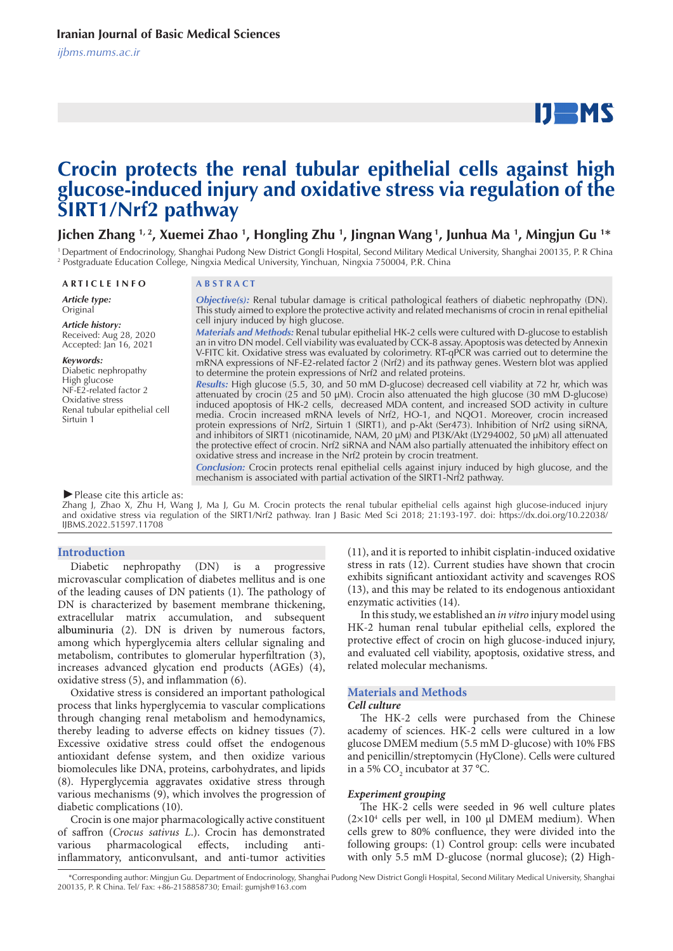# $IJ$  MS

# **Crocin protects the renal tubular epithelial cells against high glucose-induced injury and oxidative stress via regulation of the SIRT1/Nrf2 pathway**

# Jichen Zhang 1,2, Xuemei Zhao 1, Hongling Zhu 1, Jingnan Wang 1, Junhua Ma 1, Mingjun Gu 1\*

<sup>1</sup> Department of Endocrinology, Shanghai Pudong New District Gongli Hospital, Second Military Medical University, Shanghai 200135, P. R China 2 Postgraduate Education College, Ningxia Medical University, Yinchuan, Ningxia 750004, P.R. China

#### **A R T I C L E I N F O A B S T R A C T**

*Article type:* Original

*Article history:* Received: Aug 28, 2020 Accepted: Jan 16, 2021

#### *Keywords:*

Diabetic nephropathy High glucose NF-E2-related factor 2 Oxidative stress Renal tubular epithelial cell Sirtuin 1

*Objective(s):* Renal tubular damage is critical pathological feathers of diabetic nephropathy (DN). This study aimed to explore the protective activity and related mechanisms of crocin in renal epithelial cell injury induced by high glucose. *Materials and Methods:* Renal tubular epithelial HK-2 cells were cultured with D-glucose to establish

an in vitro DN model. Cell viability was evaluated by CCK-8 assay. Apoptosis was detected by Annexin V-FITC kit. Oxidative stress was evaluated by colorimetry. RT-qPCR was carried out to determine the mRNA expressions of NF-E2-related factor 2 (Nrf2) and its pathway genes. Western blot was applied to determine the protein expressions of Nrf2 and related proteins.

*Results:* High glucose (5.5, 30, and 50 mM D-glucose) decreased cell viability at 72 hr, which was attenuated by crocin (25 and 50 μM). Crocin also attenuated the high glucose (30 mM D-glucose) induced apoptosis of HK-2 cells, decreased MDA content, and increased SOD activity in culture media. Crocin increased mRNA levels of Nrf2, HO-1, and NQO1. Moreover, crocin increased protein expressions of Nrf2, Sirtuin 1 (SIRT1), and p-Akt (Ser473). Inhibition of Nrf2 using siRNA, and inhibitors of SIRT1 (nicotinamide, NAM, 20 μM) and PI3K/Akt (LY294002, 50 μM) all attenuated the protective effect of crocin. Nrf2 siRNA and NAM also partially attenuated the inhibitory effect on oxidative stress and increase in the Nrf2 protein by crocin treatment.

*Conclusion:* Crocin protects renal epithelial cells against injury induced by high glucose, and the mechanism is associated with partial activation of the SIRT1-Nrf2 pathway.

#### *►*Please cite this article as:

Zhang J, Zhao X, Zhu H, Wang J, Ma J, Gu M. Crocin protects the renal tubular epithelial cells against high glucose-induced injury and oxidative stress via regulation of the SIRT1/Nrf2 pathway. Iran J Basic Med Sci 2018; 21:193-197. doi: https://dx.doi.org/10.22038/ IJBMS.2022.51597.11708

#### **Introduction**

Diabetic nephropathy (DN) is a progressive microvascular complication of diabetes mellitus and is one of the leading causes of DN patients (1). The pathology of DN is characterized by basement membrane thickening, extracellular matrix accumulation, and subsequent albuminuria (2). DN is driven by numerous factors, among which hyperglycemia alters cellular signaling and metabolism, contributes to glomerular hyperfiltration (3), increases advanced glycation end products (AGEs) (4), oxidative stress (5), and inflammation (6).

Oxidative stress is considered an important pathological process that links hyperglycemia to vascular complications through changing renal metabolism and hemodynamics, thereby leading to adverse effects on kidney tissues (7). Excessive oxidative stress could offset the endogenous antioxidant defense system, and then oxidize various biomolecules like DNA, proteins, carbohydrates, and lipids (8). Hyperglycemia aggravates oxidative stress through various mechanisms (9), which involves the progression of diabetic complications (10).

Crocin is one major pharmacologically active constituent of saffron (*Crocus sativus L*.). Crocin has demonstrated various pharmacological effects, including antiinflammatory, anticonvulsant, and anti-tumor activities

(11), and it is reported to inhibit cisplatin-induced oxidative stress in rats (12). Current studies have shown that crocin exhibits significant antioxidant activity and scavenges ROS (13), and this may be related to its endogenous antioxidant enzymatic activities (14).

In this study, we established an *in vitro* injury model using HK-2 human renal tubular epithelial cells, explored the protective effect of crocin on high glucose-induced injury, and evaluated cell viability, apoptosis, oxidative stress, and related molecular mechanisms.

#### **Materials and Methods**

#### *Cell culture*

The HK-2 cells were purchased from the Chinese academy of sciences. HK-2 cells were cultured in a low glucose DMEM medium (5.5 mM D-glucose) with 10% FBS and penicillin/streptomycin (HyClone). Cells were cultured in a 5%  $CO_2$  incubator at 37 °C.

#### *Experiment grouping*

The HK-2 cells were seeded in 96 well culture plates  $(2\times10^4$  cells per well, in 100  $\mu$ l DMEM medium). When cells grew to 80% confluence, they were divided into the following groups: (1) Control group: cells were incubated with only 5.5 mM D-glucose (normal glucose); (2) High-

 <sup>\*</sup>Corresponding author: Mingjun Gu. Department of Endocrinology, Shanghai Pudong New District Gongli Hospital, Second Military Medical University, Shanghai 200135, P. R China. Tel/ Fax: +86-2158858730; Email: gumjsh@163.com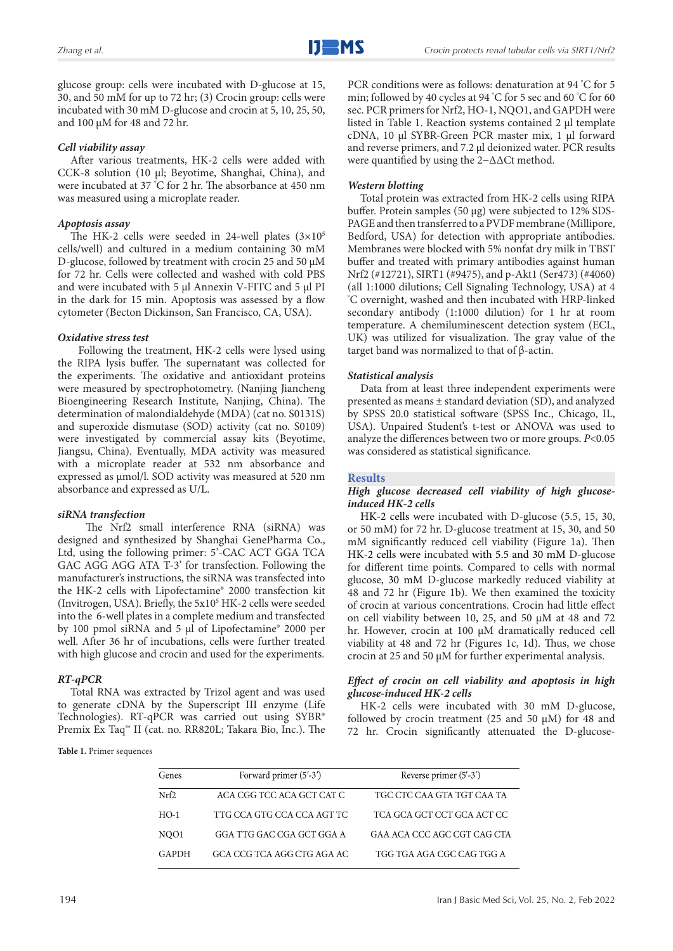glucose group: cells were incubated with D-glucose at 15, 30, and 50 mM for up to 72 hr; (3) Crocin group: cells were incubated with 30 mM D-glucose and crocin at 5, 10, 25, 50, and 100 μM for 48 and 72 hr.

# *Cell viability assay*

After various treatments, HK-2 cells were added with CCK-8 solution (10 μl; Beyotime, Shanghai, China), and were incubated at 37 ° C for 2 hr. The absorbance at 450 nm was measured using a microplate reader.

# *Apoptosis assay*

The HK-2 cells were seeded in 24-well plates  $(3\times10^{5}$ cells/well) and cultured in a medium containing 30 mM D-glucose, followed by treatment with crocin 25 and 50 μM for 72 hr. Cells were collected and washed with cold PBS and were incubated with 5 µl Annexin V-FITC and 5 µl PI in the dark for 15 min. Apoptosis was assessed by a flow cytometer (Becton Dickinson, San Francisco, CA, USA).

# *Oxidative stress test*

 Following the treatment, HK-2 cells were lysed using the RIPA lysis buffer. The supernatant was collected for the experiments. The oxidative and antioxidant proteins were measured by spectrophotometry. (Nanjing Jiancheng Bioengineering Research Institute, Nanjing, China). The determination of malondialdehyde (MDA) (cat no. S0131S) and superoxide dismutase (SOD) activity (cat no. S0109) were investigated by commercial assay kits (Beyotime, Jiangsu, China). Eventually, MDA activity was measured with a microplate reader at 532 nm absorbance and expressed as μmol/l. SOD activity was measured at 520 nm absorbance and expressed as U/L.

# *siRNA transfection*

 The Nrf2 small interference RNA (siRNA) was designed and synthesized by Shanghai GenePharma Co., Ltd, using the following primer: 5'-CAC ACT GGA TCA GAC AGG AGG ATA T-3' for transfection. Following the manufacturer's instructions, the siRNA was transfected into the HK-2 cells with Lipofectamine® 2000 transfection kit (Invitrogen, USA). Briefly, the 5x10<sup>5</sup> HK-2 cells were seeded into the 6-well plates in a complete medium and transfected by 100 pmol siRNA and 5 μl of Lipofectamine® 2000 per well. After 36 hr of incubations, cells were further treated with high glucose and crocin and used for the experiments.

# *RT-qPCR*

Total RNA was extracted by Trizol agent and was used to generate cDNA by the Superscript III enzyme (Life Technologies). RT-qPCR was carried out using SYBR® Premix Ex Taq™ II (cat. no. RR820L; Takara Bio, Inc.). The

**Table 1.** Primer sequences

PCR conditions were as follows: denaturation at 94 ° C for 5 min; followed by 40 cycles at 94 ° C for 5 sec and 60 ° C for 60 sec. PCR primers for Nrf2, HO-1, NQO1, and GAPDH were listed in Table 1. Reaction systems contained 2 μl template cDNA, 10 μl SYBR-Green PCR master mix, 1 μl forward and reverse primers, and 7.2 μl deionized water. PCR results were quantified by using the 2−ΔΔCt method.

# *Western blotting*

Total protein was extracted from HK-2 cells using RIPA buffer. Protein samples (50 μg) were subjected to 12% SDS-PAGE and then transferred to a PVDF membrane (Millipore, Bedford, USA) for detection with appropriate antibodies. Membranes were blocked with 5% nonfat dry milk in TBST buffer and treated with primary antibodies against human Nrf2 (#12721), SIRT1 (#9475), and p-Akt1 (Ser473) (#4060) (all 1:1000 dilutions; Cell Signaling Technology, USA) at 4 ° C overnight, washed and then incubated with HRP-linked secondary antibody (1:1000 dilution) for 1 hr at room temperature. A chemiluminescent detection system (ECL, UK) was utilized for visualization. The gray value of the target band was normalized to that of β-actin.

# *Statistical analysis*

Data from at least three independent experiments were presented as means ± standard deviation (SD), and analyzed by SPSS 20.0 statistical software (SPSS Inc., Chicago, IL, USA). Unpaired Student's t-test or ANOVA was used to analyze the differences between two or more groups. *P*<0.05 was considered as statistical significance.

# **Results**

# *High glucose decreased cell viability of high glucoseinduced HK-2 cells*

HK-2 cells were incubated with D-glucose (5.5, 15, 30, or 50 mM) for 72 hr. D-glucose treatment at 15, 30, and 50 mM significantly reduced cell viability (Figure 1a). Then HK-2 cells were incubated with 5.5 and 30 mM D-glucose for different time points. Compared to cells with normal glucose, 30 mM D-glucose markedly reduced viability at 48 and 72 hr (Figure 1b). We then examined the toxicity of crocin at various concentrations. Crocin had little effect on cell viability between 10, 25, and 50 μM at 48 and 72 hr. However, crocin at 100 μM dramatically reduced cell viability at 48 and 72 hr (Figures 1c, 1d). Thus, we chose crocin at 25 and 50 μM for further experimental analysis.

# *Effect of crocin on cell viability and apoptosis in high glucose-induced HK-2 cells*

HK-2 cells were incubated with 30 mM D-glucose, followed by crocin treatment (25 and 50 μM) for 48 and 72 hr. Crocin significantly attenuated the D-glucose-

| Genes  | Forward primer (5'-3')     | Reverse primer (5'-3')      |
|--------|----------------------------|-----------------------------|
| Nrf2   | ACA CGG TCC ACA GCT CAT C  | TGC CTC CAA GTA TGT CAA TA  |
| $HO-1$ | TTG CCA GTG CCA CCA AGT TC | TCA GCA GCT CCT GCA ACT CC  |
| NOO1   | GGA TTG GAC CGA GCT GGA A  | GAA ACA CCC AGC CGT CAG CTA |
| GAPDH  | GCA CCG TCA AGG CTG AGA AC | TGG TGA AGA CGC CAG TGG A   |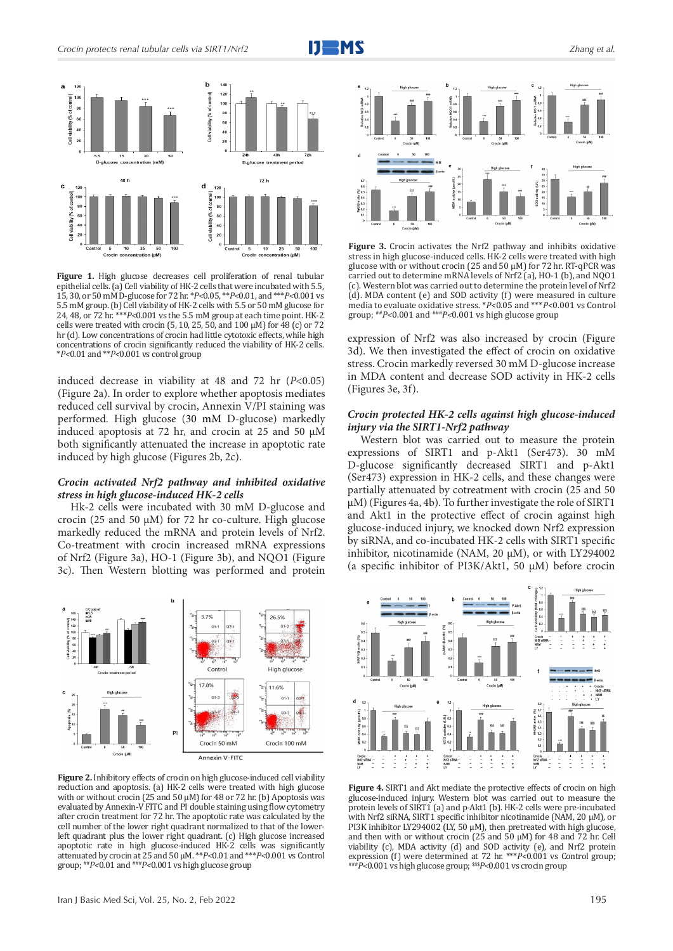



**Figure 1.** High glucose decreases cell proliferation of renal tubular epithelial cells. (a) Cell viability of HK-2 cells that were incubated with 5.5, 15, 30, or 50 mM D-glucose for 72 hr. \**P<*0.05, \*\**P<*0.01, and \*\*\**P<*0.001 vs 5.5 mM group. (b) Cell viability of HK-2 cells with 5.5 or 50 mM glucose for 24, 48, or 72 hr. \*\*\**P<*0.001 vs the 5.5 mM group at each time point. HK-2 cells were treated with crocin (5, 10, 25, 50, and 100  $\mu$ M) for 48 (c) or 72 hr (d). Low concentrations of crocin had little cytotoxic effects, while high concentrations of crocin significantly reduced the viability of HK-2 cells. \**P<*0.01 and \*\**P<*0.001 vs control group

induced decrease in viability at 48 and 72 hr (*P*<0.05) (Figure 2a). In order to explore whether apoptosis mediates reduced cell survival by crocin, Annexin V/PI staining was performed. High glucose (30 mM D-glucose) markedly induced apoptosis at 72 hr, and crocin at 25 and 50 μM both significantly attenuated the increase in apoptotic rate induced by high glucose (Figures 2b, 2c).

#### *Crocin activated Nrf2 pathway and inhibited oxidative stress in high glucose-induced HK-2 cells*

Hk-2 cells were incubated with 30 mM D-glucose and crocin (25 and 50 μM) for 72 hr co-culture. High glucose markedly reduced the mRNA and protein levels of Nrf2. Co-treatment with crocin increased mRNA expressions of Nrf2 (Figure 3a), HO-1 (Figure 3b), and NQO1 (Figure 3c). Then Western blotting was performed and protein 2



**Figure 2.** Inhibitory effects of crocin on high glucose-induced cell viability reduction and apoptosis. (a) HK-2 cells were treated with high glucose with or without crocin (25 and 50 μM) for 48 or 72 hr. (b) Apoptosis was evaluated by Annexin-V FITC and PI double staining using flow cytometry after crocin treatment for 72 hr. The apoptotic rate was calculated by the cell number of the lower right quadrant normalized to that of the lowerleft quadrant plus the lower right quadrant. (c) High glucose increased apoptotic rate in high glucose-induced HK-2 cells was significantly attenuated by crocin at 25 and 50 μM. \*\**P<*0.01 and \*\*\**P<*0.001 vs Control group; ##*P<*0.01 and ###*P<*0.001 vs high glucose group



**Figure 3.** Crocin activates the Nrf2 pathway and inhibits oxidative stress in high glucose-induced cells. HK-2 cells were treated with high glucose with or without crocin (25 and 50 μM) for 72 hr. RT-qPCR was carried out to determine mRNA levels of Nrf2 (a), HO-1 (b), and NQO1 (c). Western blot was carried out to determine the protein level of Nrf2  $(d)$ . MDA content (e) and SOD activity (f) were measured in culture media to evaluate oxidative stress. \**P<*0.05 and \*\*\**P<*0.001 vs Control group; ##*P<*0.001 and ###*P<*0.001 vs high glucose group

expression of Nrf2 was also increased by crocin (Figure 3d). We then investigated the effect of crocin on oxidative stress. Crocin markedly reversed 30 mM D-glucose increase in MDA content and decrease SOD activity in HK-2 cells (Figures 3e, 3f).

#### *Crocin protected HK-2 cells against high glucose-induced injury via the SIRT1-Nrf2 pathway*

Western blot was carried out to measure the protein expressions of SIRT1 and p-Akt1 (Ser473). 30 mM D-glucose significantly decreased SIRT1 and p-Akt1 (Ser473) expression in HK-2 cells, and these changes were partially attenuated by cotreatment with crocin (25 and 50 μM) (Figures 4a, 4b). To further investigate the role of SIRT1 and Akt1 in the protective effect of crocin against high glucose-induced injury, we knocked down Nrf2 expression by siRNA, and co-incubated HK-2 cells with SIRT1 specific inhibitor, nicotinamide (NAM, 20 μM), or with LY294002 (a specific inhibitor of PI3K/Akt1, 50 μM) before crocin 4



Figure 4. SIRT1 and Akt mediate the protective effects of crocin on high glucose-induced injury. Western blot was carried out to measure the protein levels of SIRT1 (a) and p-Akt1 (b). HK-2 cells were pre-incubated with Nrf2 siRNA, SIRT1 specific inhibitor nicotinamide (ΝΑΜ, 20 μM), or PI3K inhibitor LY294002 (LY, 50 μM), then pretreated with high glucose, and then with or without crocin  $(25 \text{ and } 50 \text{ µ})$  for 48 and 72 hr. Cell viability (c), MDA activity (d) and SOD activity (e), and Nrf2 protein expression (f) were determined at  $72$  hr. \*\*\* $P<0.001$  vs Control group; expression (f) were determined at 72 hr. \*\*\**P<*0.001 vs Control group; ###*P<*0.001 vs high glucose group; \$\$\$*P<*0.001 vs crocin group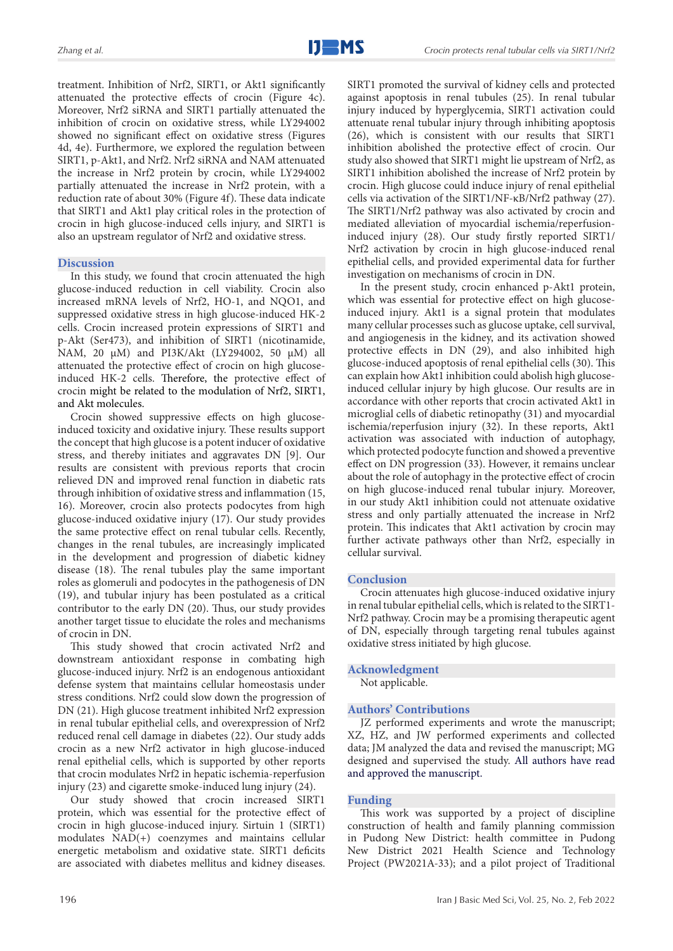treatment. Inhibition of Nrf2, SIRT1, or Akt1 significantly attenuated the protective effects of crocin (Figure 4c). Moreover, Nrf2 siRNA and SIRT1 partially attenuated the inhibition of crocin on oxidative stress, while LY294002 showed no significant effect on oxidative stress (Figures 4d, 4e). Furthermore, we explored the regulation between SIRT1, p-Akt1, and Nrf2. Nrf2 siRNA and NAM attenuated the increase in Nrf2 protein by crocin, while LY294002 partially attenuated the increase in Nrf2 protein, with a reduction rate of about 30% (Figure 4f). These data indicate that SIRT1 and Akt1 play critical roles in the protection of crocin in high glucose-induced cells injury, and SIRT1 is also an upstream regulator of Nrf2 and oxidative stress.

## **Discussion**

In this study, we found that crocin attenuated the high glucose-induced reduction in cell viability. Crocin also increased mRNA levels of Nrf2, HO-1, and NQO1, and suppressed oxidative stress in high glucose-induced HK-2 cells. Crocin increased protein expressions of SIRT1 and p-Akt (Ser473), and inhibition of SIRT1 (nicotinamide, NAM, 20 μM) and PI3K/Akt (LY294002, 50 μM) all attenuated the protective effect of crocin on high glucoseinduced HK-2 cells. Therefore, the protective effect of crocin might be related to the modulation of Nrf2, SIRT1, and Akt molecules.

Crocin showed suppressive effects on high glucoseinduced toxicity and oxidative injury. These results support the concept that high glucose is a potent inducer of oxidative stress, and thereby initiates and aggravates DN [9]. Our results are consistent with previous reports that crocin relieved DN and improved renal function in diabetic rats through inhibition of oxidative stress and inflammation (15, 16). Moreover, crocin also protects podocytes from high glucose-induced oxidative injury (17). Our study provides the same protective effect on renal tubular cells. Recently, changes in the renal tubules, are increasingly implicated in the development and progression of diabetic kidney disease (18). The renal tubules play the same important roles as glomeruli and podocytes in the pathogenesis of DN (19), and tubular injury has been postulated as a critical contributor to the early DN (20). Thus, our study provides another target tissue to elucidate the roles and mechanisms of crocin in DN.

This study showed that crocin activated Nrf2 and downstream antioxidant response in combating high glucose-induced injury. Nrf2 is an endogenous antioxidant defense system that maintains cellular homeostasis under stress conditions. Nrf2 could slow down the progression of DN (21). High glucose treatment inhibited Nrf2 expression in renal tubular epithelial cells, and overexpression of Nrf2 reduced renal cell damage in diabetes (22). Our study adds crocin as a new Nrf2 activator in high glucose-induced renal epithelial cells, which is supported by other reports that crocin modulates Nrf2 in hepatic ischemia-reperfusion injury (23) and cigarette smoke-induced lung injury (24).

Our study showed that crocin increased SIRT1 protein, which was essential for the protective effect of crocin in high glucose-induced injury. Sirtuin 1 (SIRT1) modulates NAD(+) coenzymes and maintains cellular energetic metabolism and oxidative state. SIRT1 deficits are associated with diabetes mellitus and kidney diseases.

196

SIRT1 promoted the survival of kidney cells and protected against apoptosis in renal tubules (25). In renal tubular injury induced by hyperglycemia, SIRT1 activation could attenuate renal tubular injury through inhibiting apoptosis (26), which is consistent with our results that SIRT1 inhibition abolished the protective effect of crocin. Our study also showed that SIRT1 might lie upstream of Nrf2, as SIRT1 inhibition abolished the increase of Nrf2 protein by crocin. High glucose could induce injury of renal epithelial cells via activation of the SIRT1/NF-κB/Nrf2 pathway (27). The SIRT1/Nrf2 pathway was also activated by crocin and mediated alleviation of myocardial ischemia/reperfusioninduced injury (28). Our study firstly reported SIRT1/ Nrf2 activation by crocin in high glucose-induced renal epithelial cells, and provided experimental data for further investigation on mechanisms of crocin in DN.

In the present study, crocin enhanced p-Akt1 protein, which was essential for protective effect on high glucoseinduced injury. Akt1 is a signal protein that modulates many cellular processes such as glucose uptake, cell survival, and angiogenesis in the kidney, and its activation showed protective effects in DN (29), and also inhibited high glucose-induced apoptosis of renal epithelial cells (30). This can explain how Akt1 inhibition could abolish high glucoseinduced cellular injury by high glucose. Our results are in accordance with other reports that crocin activated Akt1 in microglial cells of diabetic retinopathy (31) and myocardial ischemia/reperfusion injury (32). In these reports, Akt1 activation was associated with induction of autophagy, which protected podocyte function and showed a preventive effect on DN progression (33). However, it remains unclear about the role of autophagy in the protective effect of crocin on high glucose-induced renal tubular injury. Moreover, in our study Akt1 inhibition could not attenuate oxidative stress and only partially attenuated the increase in Nrf2 protein. This indicates that Akt1 activation by crocin may further activate pathways other than Nrf2, especially in cellular survival.

## **Conclusion**

Crocin attenuates high glucose-induced oxidative injury in renal tubular epithelial cells, which is related to the SIRT1- Nrf2 pathway. Crocin may be a promising therapeutic agent of DN, especially through targeting renal tubules against oxidative stress initiated by high glucose.

## **Acknowledgment**

Not applicable.

# **Authors' Contributions**

JZ performed experiments and wrote the manuscript; XZ, HZ, and JW performed experiments and collected data; JM analyzed the data and revised the manuscript; MG designed and supervised the study. All authors have read and approved the manuscript.

## **Funding**

This work was supported by a project of discipline construction of health and family planning commission in Pudong New District: health committee in Pudong New District 2021 Health Science and Technology Project (PW2021A-33); and a pilot project of Traditional